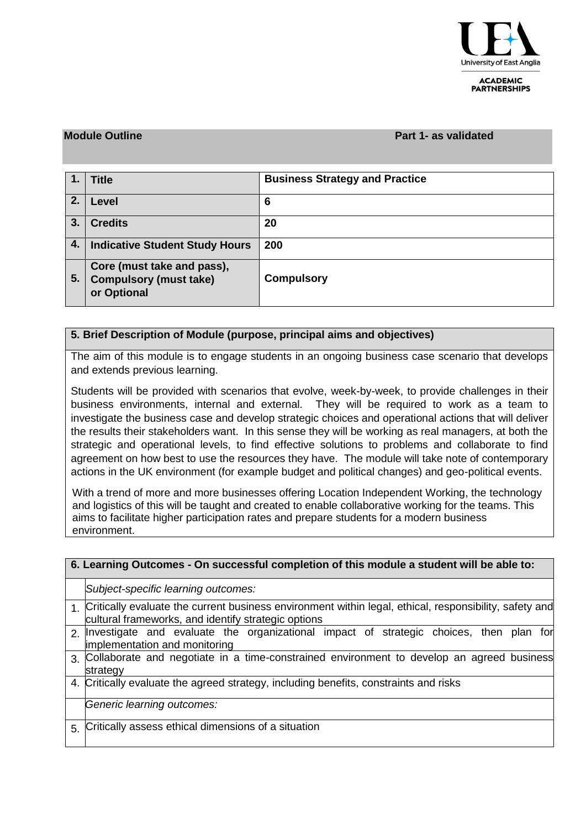

**ACADEMIC PARTNERSHIPS** 

#### **Module Outline Part 1- as validated**

|    | <b>Title</b>                                                               | <b>Business Strategy and Practice</b> |
|----|----------------------------------------------------------------------------|---------------------------------------|
| 2. | Level                                                                      | 6                                     |
| 3. | <b>Credits</b>                                                             | 20                                    |
| 4. | <b>Indicative Student Study Hours</b>                                      | 200                                   |
| 5. | Core (must take and pass),<br><b>Compulsory (must take)</b><br>or Optional | <b>Compulsory</b>                     |

### **5. Brief Description of Module (purpose, principal aims and objectives)**

The aim of this module is to engage students in an ongoing business case scenario that develops and extends previous learning.

Students will be provided with scenarios that evolve, week-by-week, to provide challenges in their business environments, internal and external. They will be required to work as a team to investigate the business case and develop strategic choices and operational actions that will deliver the results their stakeholders want. In this sense they will be working as real managers, at both the strategic and operational levels, to find effective solutions to problems and collaborate to find agreement on how best to use the resources they have. The module will take note of contemporary actions in the UK environment (for example budget and political changes) and geo-political events.

With a trend of more and more businesses offering Location Independent Working, the technology and logistics of this will be taught and created to enable collaborative working for the teams. This aims to facilitate higher participation rates and prepare students for a modern business environment.

| 6. Learning Outcomes - On successful completion of this module a student will be able to: |                                                                                                                                                                  |  |  |  |  |  |  |  |  |  |  |
|-------------------------------------------------------------------------------------------|------------------------------------------------------------------------------------------------------------------------------------------------------------------|--|--|--|--|--|--|--|--|--|--|
|                                                                                           | Subject-specific learning outcomes:                                                                                                                              |  |  |  |  |  |  |  |  |  |  |
|                                                                                           | 1. Critically evaluate the current business environment within legal, ethical, responsibility, safety and<br>cultural frameworks, and identify strategic options |  |  |  |  |  |  |  |  |  |  |
|                                                                                           | 2 Investigate and evaluate the organizational impact of strategic choices, then plan for<br>implementation and monitoring                                        |  |  |  |  |  |  |  |  |  |  |
|                                                                                           | 3. Collaborate and negotiate in a time-constrained environment to develop an agreed business<br>strategy                                                         |  |  |  |  |  |  |  |  |  |  |
|                                                                                           | 4. Critically evaluate the agreed strategy, including benefits, constraints and risks                                                                            |  |  |  |  |  |  |  |  |  |  |
|                                                                                           | Generic learning outcomes:                                                                                                                                       |  |  |  |  |  |  |  |  |  |  |
| 5.                                                                                        | Critically assess ethical dimensions of a situation                                                                                                              |  |  |  |  |  |  |  |  |  |  |